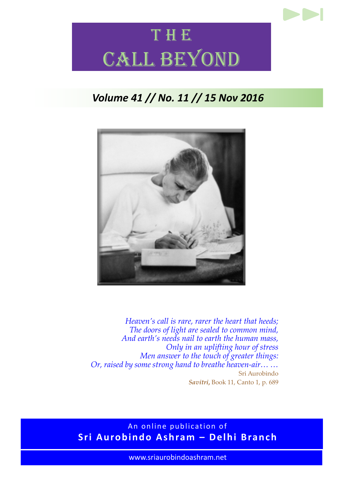

# *Volume 41 // No. 11 // 15 Nov 2016*



*Heaven's call is rare, rarer the heart that heeds; The doors of light are sealed to common mind, And earth's needs nail to earth the human mass, Only in an uplifting hour of stress Men answer to the touch of greater things: Or, raised by some strong hand to breathe heaven-air… …* Sri Aurobindo *Savitri***,** Book 11, Canto 1, p. 689

An online publication of **Sri Aurobindo Ashram – Delhi Branch**

[www.sriaurobindoashram.net](http://sriaurobindoashram.net/)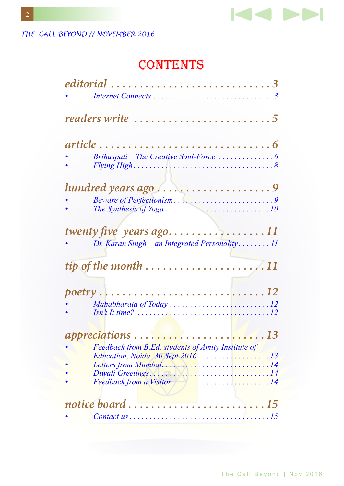THE CALL BEYOND // NOVEMBER 2016

# CONTENTS

| readers write $\ldots \ldots \ldots \ldots \ldots \ldots \ldots 5$ |                                                                                        |
|--------------------------------------------------------------------|----------------------------------------------------------------------------------------|
|                                                                    |                                                                                        |
|                                                                    |                                                                                        |
| hundred years ago9                                                 |                                                                                        |
|                                                                    | The Synthesis of Yoga $\ldots \ldots \ldots \ldots \ldots \ldots \ldots \ldots \ldots$ |
|                                                                    |                                                                                        |
|                                                                    | Dr. Karan Singh - an Integrated Personality11                                          |
|                                                                    | tip of the month $\dots \dots \dots \dots \dots \dots \dots \dots \dots 11$            |
|                                                                    | $poetry \dots \dots \dots \dots \dots \dots \dots \dots \dots \dots 12$                |
|                                                                    |                                                                                        |
|                                                                    |                                                                                        |
|                                                                    | Feedback from B.Ed. students of Amity Institute of                                     |
|                                                                    |                                                                                        |
|                                                                    | Feedback from a Visitor 14                                                             |
|                                                                    |                                                                                        |
|                                                                    |                                                                                        |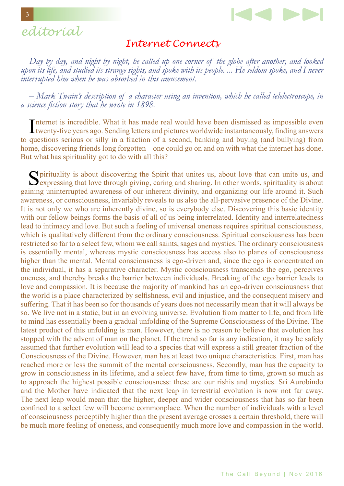

# <span id="page-2-0"></span>*editorial*

### *Internet Connects*

*Day by day, and night by night, he called up one corner of the globe after another, and looked upon its life, and studied its strange sights, and spoke with its people. ... He seldom spoke, and I never interrupted him when he was absorbed in this amusement.*

*– Mark Twain's description of a character using an invention, which he called telelectroscope, in a science fiction story that he wrote in 1898.*

Internet is incredible. What it has made real would have been dismissed as impossible even<br>twenty-five years ago. Sending letters and pictures worldwide instantaneously, finding answers nternet is incredible. What it has made real would have been dismissed as impossible even to questions serious or silly in a fraction of a second, banking and buying (and bullying) from home, discovering friends long forgotten – one could go on and on with what the internet has done. But what has spirituality got to do with all this?

Spirituality is about discovering the Spirit that unites us, about love that can unite us, and expressing that love through giving, caring and sharing. In other words, spirituality is about gaining uninterrupted awareness of our inherent divinity, and organizing our life around it. Such awareness, or consciousness, invariably reveals to us also the all-pervasive presence of the Divine. It is not only we who are inherently divine, so is everybody else. Discovering this basic identity with our fellow beings forms the basis of all of us being interrelated. Identity and interrelatedness lead to intimacy and love. But such a feeling of universal oneness requires spiritual consciousness, which is qualitatively different from the ordinary consciousness. Spiritual consciousness has been restricted so far to a select few, whom we call saints, sages and mystics. The ordinary consciousness is essentially mental, whereas mystic consciousness has access also to planes of consciousness higher than the mental. Mental consciousness is ego-driven and, since the ego is concentrated on the individual, it has a separative character. Mystic consciousness transcends the ego, perceives oneness, and thereby breaks the barrier between individuals. Breaking of the ego barrier leads to love and compassion. It is because the majority of mankind has an ego-driven consciousness that the world is a place characterized by selfishness, evil and injustice, and the consequent misery and suffering. That it has been so for thousands of years does not necessarily mean that it will always be so. We live not in a static, but in an evolving universe. Evolution from matter to life, and from life to mind has essentially been a gradual unfolding of the Supreme Consciousness of the Divine. The latest product of this unfolding is man. However, there is no reason to believe that evolution has stopped with the advent of man on the planet. If the trend so far is any indication, it may be safely assumed that further evolution will lead to a species that will express a still greater fraction of the Consciousness of the Divine. However, man has at least two unique characteristics. First, man has reached more or less the summit of the mental consciousness. Secondly, man has the capacity to grow in consciousness in its lifetime, and a select few have, from time to time, grown so much as to approach the highest possible consciousness: these are our rishis and mystics. Sri Aurobindo and the Mother have indicated that the next leap in terrestrial evolution is now not far away. The next leap would mean that the higher, deeper and wider consciousness that has so far been confined to a select few will become commonplace. When the number of individuals with a level of consciousness perceptibly higher than the present average crosses a certain threshold, there will be much more feeling of oneness, and consequently much more love and compassion in the world.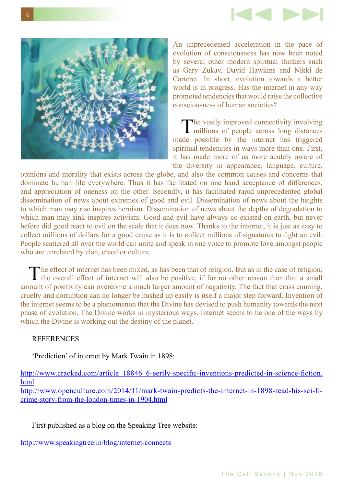



An unprecedented acceleration in the pace of evolution of consciousness has now been noted by several other modern spiritual thinkers such as Gary Zukav, David Hawkins and Nikki de Carteret. In short, evolution towards a better world is in progress. Has the internet in any way promoted tendencies that would raise the collective consciousness of human societies?

The vastly improved connectivity involving<br>millions of people across long distances made possible by the internet has triggered spiritual tendencies in ways more than one. First, it has made more of us more acutely aware of the diversity in appearance, language, culture,

opinions and morality that exists across the globe, and also the common causes and concerns that dominate human life everywhere. Thus it has facilitated on one hand acceptance of differences, and appreciation of oneness on the other. Secondly, it has facilitated rapid unprecedented global dissemination of news about extremes of good and evil. Dissemination of news about the heights to which man may rise inspires heroism. Dissemination of news about the depths of degradation to which man may sink inspires activism. Good and evil have always co-existed on earth, but never before did good react to evil on the scale that it does now. Thanks to the internet, it is just as easy to collect millions of dollars for a good cause as it is to collect millions of signatures to fight an evil. People scattered all over the world can unite and speak in one voice to promote love amongst people who are unrelated by clan, creed or culture.

The effect of internet has been mixed, as has been that of religion. But as in the case of religion, the overall effect of internet will also be positive, if for no other reason than that a small amount of positivity can overcome a much larger amount of negativity. The fact that crass cunning, cruelty and corruption can no longer be hushed up easily is itself a major step forward. Invention of the internet seems to be a phenomenon that the Divine has devised to push humanity towards the next phase of evolution. The Divine works in mysterious ways. Internet seems to be one of the ways by which the Divine is working out the destiny of the planet.

#### **REFERENCES**

'Prediction' of internet by Mark Twain in 1898:

http://www.cracked.com/article 18846 6-eerily-specific-inventions-predicted-in-science-fiction. [html](http://www.cracked.com/article_18846_6-eerily-specific-inventions-predicted-in-science-fiction.html) [http://www.openculture.com/2014/11/mark-twain-predicts-the-internet-in-1898-read-his-sci-fi](http://www.openculture.com/2014/11/mark-twain-predicts-the-internet-in-1898-read-his-sci-fi-crime-story-from-the-london-times-in-1904.html)[crime-story-from-the-london-times-in-1904.html](http://www.openculture.com/2014/11/mark-twain-predicts-the-internet-in-1898-read-his-sci-fi-crime-story-from-the-london-times-in-1904.html)

First published as a blog on the Speaking Tree website:

<http://www.speakingtree.in/blog/internet-connects>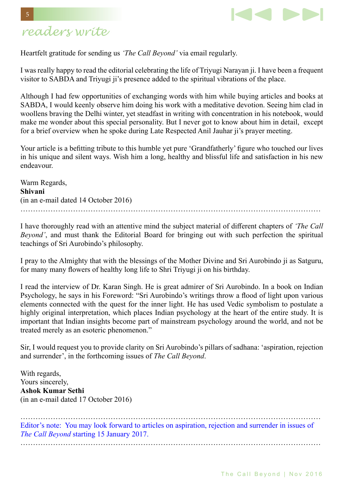

# <span id="page-4-0"></span>*readers write*

Heartfelt gratitude for sending us *'The Call Beyond'* via email regularly.

I was really happy to read the editorial celebrating the life of Triyugi Narayan ji. I have been a frequent visitor to SABDA and Triyugi ji's presence added to the spiritual vibrations of the place.

Although I had few opportunities of exchanging words with him while buying articles and books at SABDA, I would keenly observe him doing his work with a meditative devotion. Seeing him clad in woollens braving the Delhi winter, yet steadfast in writing with concentration in his notebook, would make me wonder about this special personality. But I never got to know about him in detail, except for a brief overview when he spoke during Late Respected Anil Jauhar ji's prayer meeting.

Your article is a befitting tribute to this humble yet pure 'Grandfatherly' figure who touched our lives in his unique and silent ways. Wish him a long, healthy and blissful life and satisfaction in his new endeavour.

Warm Regards, **Shivani**  (in an e-mail dated 14 October 2016) …………………………………………………………………………………………………………

I have thoroughly read with an attentive mind the subject material of different chapters of *'The Call Beyond'*, and must thank the Editorial Board for bringing out with such perfection the spiritual teachings of Sri Aurobindo's philosophy.

I pray to the Almighty that with the blessings of the Mother Divine and Sri Aurobindo ji as Satguru, for many many flowers of healthy long life to Shri Triyugi ji on his birthday.

I read the interview of Dr. Karan Singh. He is great admirer of Sri Aurobindo. In a book on Indian Psychology, he says in his Foreword: "Sri Aurobindo's writings throw a flood of light upon various elements connected with the quest for the inner light. He has used Vedic symbolism to postulate a highly original interpretation, which places Indian psychology at the heart of the entire study. It is important that Indian insights become part of mainstream psychology around the world, and not be treated merely as an esoteric phenomenon."

Sir, I would request you to provide clarity on Sri Aurobindo's pillars of sadhana: 'aspiration, rejection and surrender', in the forthcoming issues of *The Call Beyond*.

With regards, Yours sincerely, **Ashok Kumar Sethi** (in an e-mail dated 17 October 2016)

Editor's note: You may look forward to articles on aspiration, rejection and surrender in issues of *The Call Beyond* starting 15 January 2017. …………………………………………………………………………………………………………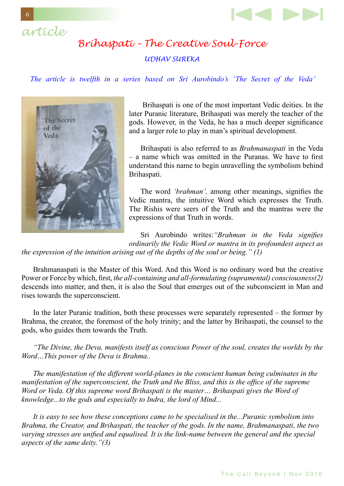

# *Brihaspati – The Creative Soul-Force*

*UDHAV SUREKA*

*The article is twelfth in a series based on Sri Aurobindo's 'The Secret of the Veda'* 



 Brihaspati is one of the most important Vedic deities. In the later Puranic literature, Brihaspati was merely the teacher of the gods. However, in the Veda, he has a much deeper significance and a larger role to play in man's spiritual development.

Brihaspati is also referred to as *Brahmanaspati* in the Veda – a name which was omitted in the Puranas. We have to first understand this name to begin unravelling the symbolism behind Brihaspati.

The word *'brahman',* among other meanings, signifies the Vedic mantra, the intuitive Word which expresses the Truth. The Rishis were seers of the Truth and the mantras were the expressions of that Truth in words.

Sri Aurobindo writes:*"Brahman in the Veda signifies ordinarily the Vedic Word or mantra in its profoundest aspect as* 

*the expression of the intuition arising out of the depths of the soul or being." (1)*

Brahmanaspati is the Master of this Word. And this Word is no ordinary word but the creative Power or Force by which, first, *the all-containing and all-formulating (supramental) consciousness(2)* descends into matter, and then, it is also the Soul that emerges out of the subconscient in Man and rises towards the superconscient.

In the later Puranic tradition, both these processes were separately represented – the former by Brahma, the creator, the foremost of the holy trinity; and the latter by Brihaspati, the counsel to the gods, who guides them towards the Truth.

*"The Divine, the Deva, manifests itself as conscious Power of the soul, creates the worlds by the Word…This power of the Deva is Brahma..*

*The manifestation of the different world-planes in the conscient human being culminates in the manifestation of the superconscient, the Truth and the Bliss, and this is the office of the supreme Word or Veda. Of this supreme word Brihaspati is the master… Brihaspati gives the Word of knowledge...to the gods and especially to Indra, the lord of Mind...*

*It is easy to see how these conceptions came to be specialised in the...Puranic symbolism into Brahma, the Creator, and Brihaspati, the teacher of the gods. In the name, Brahmanaspati, the two varying stresses are unified and equalised. It is the link-name between the general and the special aspects of the same deity."(3)*

<span id="page-5-0"></span>*article*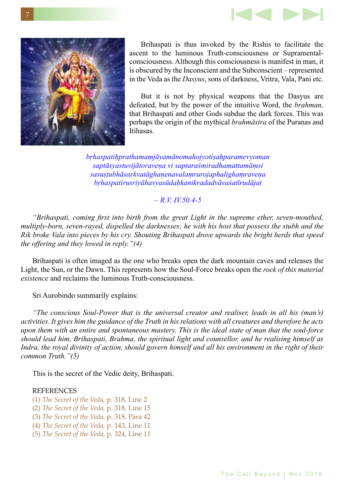



Brihaspati is thus invoked by the Rishis to facilitate the ascent to the luminous Truth-consciousness or Supramentalconsciousness. Although this consciousness is manifest in man, it is obscured by the Inconscient and the Subconscient – represented in the Veda as the *Dasyus*, sons of darkness, Vritra, Vala, Pani etc.

But it is not by physical weapons that the Dasyus are defeated, but by the power of the intuitive Word, the *brahman,* that Brihaspati and other Gods subdue the dark forces. This was perhaps the origin of the mythical *brahmāstra* of the Puranas and Itihasas.

*bṛhaspatiḥprathamaṃjāyamānomahojyotiṣaḥparamevyoman saptāsyastuvijātoraveṇa vi saptaraśmiradhamattamāṃsi sasuṣṭubhāsaṛkvatāghaṇenavalaṃrurojaphalighaṃraveṇa bṛhaspatirusriyāhavyasūdaḥkanikradadvāvaśatīrudājat*

#### $-$  R.V. IV.50.4-5

*"Brihaspati, coming first into birth from the great Light in the supreme ether, seven-mouthed, multiply-born, seven-rayed, dispelled the darknesses; he with his host that possess the stubh and the Rik broke Vala into pieces by his cry. Shouting Brihaspati drove upwards the bright herds that speed the offering and they lowed in reply."(4)*

Brihaspati is often imaged as the one who breaks open the dark mountain caves and releases the Light, the Sun, or the Dawn. This represents how the Soul-Force breaks open the *rock of this material existence* and reclaims the luminous Truth-consciousness.

Sri Aurobindo summarily explains:

*"The conscious Soul-Power that is the universal creator and realiser, leads in all his (man's) activities. It gives him the guidance of the Truth in his relations with all creatures and therefore he acts upon them with an entire and spontaneous mastery. This is the ideal state of man that the soul-force should lead him, Brihaspati, Brahma, the spiritual light and counsellor, and he realising himself as Indra, the royal divinity of action, should govern himself and all his environment in the right of their common Truth."(5)*

This is the secret of the Vedic deity, Brihaspati.

#### **REFERENCES**

- (1) *The Secret of the Veda,* p. 318, Line 2
- (2) *The Secret of the Veda,* p. 318, Line 15
- (3) *The Secret of the Veda,* p. 318, Para 42
- (4) *The Secret of the Veda,* p. 143, Line 11
- (5) *The Secret of the Veda,* p. 324, Line 11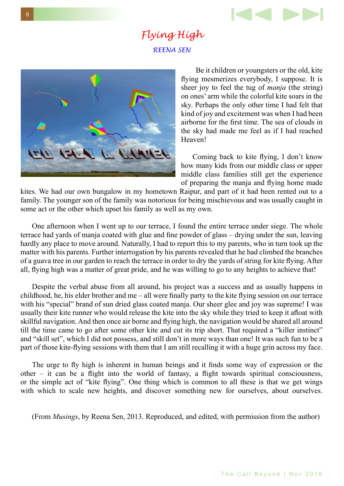# $\blacksquare$

# *Flying High*

*REENA SEN*

<span id="page-7-0"></span>

 Be it children or youngsters or the old, kite flying mesmerizes everybody, I suppose. It is sheer joy to feel the tug of *manja* (the string) on ones' arm while the colorful kite soars in the sky. Perhaps the only other time I had felt that kind of joy and excitement was when I had been airborne for the first time. The sea of clouds in the sky had made me feel as if I had reached Heaven!

Coming back to kite flying, I don't know how many kids from our middle class or upper middle class families still get the experience of preparing the manja and flying home made

kites. We had our own bungalow in my hometown Raipur, and part of it had been rented out to a family. The younger son of the family was notorious for being mischievous and was usually caught in some act or the other which upset his family as well as my own.

One afternoon when I went up to our terrace, I found the entire terrace under siege. The whole terrace had yards of manja coated with glue and fine powder of glass – drying under the sun, leaving hardly any place to move around. Naturally, I had to report this to my parents, who in turn took up the matter with his parents. Further interrogation by his parents revealed that he had climbed the branches of a guava tree in our garden to reach the terrace in order to dry the yards of string for kite flying. After all, flying high was a matter of great pride, and he was willing to go to any heights to achieve that!

Despite the verbal abuse from all around, his project was a success and as usually happens in childhood, he, his elder brother and me – all were finally party to the kite flying session on our terrace with his "special" brand of sun dried glass coated manja. Our sheer glee and joy was supreme! I was usually their kite runner who would release the kite into the sky while they tried to keep it afloat with skillful navigation. And then once air borne and flying high, the navigation would be shared all around till the time came to go after some other kite and cut its trip short. That required a "killer instinct" and "skill set", which I did not possess, and still don't in more ways than one! It was such fun to be a part of those kite-flying sessions with them that I am still recalling it with a huge grin across my face.

The urge to fly high is inherent in human beings and it finds some way of expression or the other – it can be a flight into the world of fantasy, a flight towards spiritual consciousness, or the simple act of "kite flying". One thing which is common to all these is that we get wings with which to scale new heights, and discover something new for ourselves, about ourselves.

(From *Musings*, by Reena Sen, 2013. Reproduced, and edited, with permission from the author)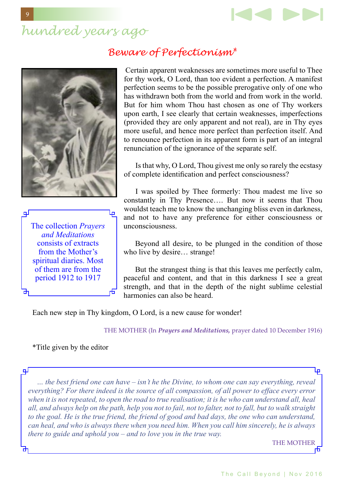# <span id="page-8-0"></span>*hundred years ago*



The collection *Prayers and Meditations*  consists of extracts from the Mother's spiritual diaries. Most of them are from the period 1912 to 1917

# *Beware of Perfectionism\**

Certain apparent weaknesses are sometimes more useful to Thee for thy work, O Lord, than too evident a perfection. A manifest perfection seems to be the possible prerogative only of one who has withdrawn both from the world and from work in the world. But for him whom Thou hast chosen as one of Thy workers upon earth, I see clearly that certain weaknesses, imperfections (provided they are only apparent and not real), are in Thy eyes more useful, and hence more perfect than perfection itself. And to renounce perfection in its apparent form is part of an integral renunciation of the ignorance of the separate self.

Is that why, O Lord, Thou givest me only so rarely the ecstasy of complete identification and perfect consciousness?

I was spoiled by Thee formerly: Thou madest me live so constantly in Thy Presence…. But now it seems that Thou wouldst teach me to know the unchanging bliss even in darkness, and not to have any preference for either consciousness or unconsciousness.

Beyond all desire, to be plunged in the condition of those who live by desire… strange!

But the strangest thing is that this leaves me perfectly calm, peaceful and content, and that in this darkness I see a great strength, and that in the depth of the night sublime celestial harmonies can also be heard.

Each new step in Thy kingdom, O Lord, is a new cause for wonder!

ᡅ

THE MOTHER (In *Prayers and Meditations,* prayer dated 10 December 1916)

\*Title given by the editor

்

لو

*… the best friend one can have – isn't he the Divine, to whom one can say everything, reveal everything? For there indeed is the source of all compassion, of all power to efface every error when it is not repeated, to open the road to true realisation; it is he who can understand all, heal all, and always help on the path, help you not to fail, not to falter, not to fall, but to walk straight to the goal. He is the true friend, the friend of good and bad days, the one who can understand, can heal, and who is always there when you need him. When you call him sincerely, he is always there to guide and uphold you – and to love you in the true way.*

THE MOTHER

Lо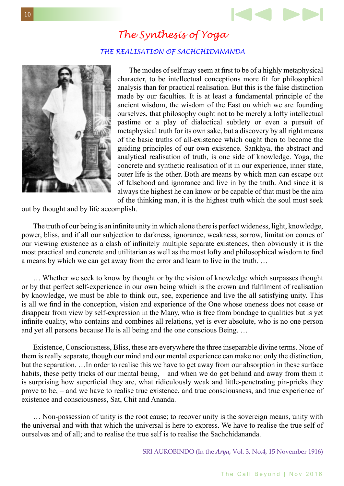# *The Synthesis of Yoga*

#### *THE REALISATION OF SACHCHIDANANDA*

<span id="page-9-0"></span>

The modes of self may seem at first to be of a highly metaphysical character, to be intellectual conceptions more fit for philosophical analysis than for practical realisation. But this is the false distinction made by our faculties. It is at least a fundamental principle of the ancient wisdom, the wisdom of the East on which we are founding ourselves, that philosophy ought not to be merely a lofty intellectual pastime or a play of dialectical subtlety or even a pursuit of metaphysical truth for its own sake, but a discovery by all right means of the basic truths of all-existence which ought then to become the guiding principles of our own existence. Sankhya, the abstract and analytical realisation of truth, is one side of knowledge. Yoga, the concrete and synthetic realisation of it in our experience, inner state, outer life is the other. Both are means by which man can escape out of falsehood and ignorance and live in by the truth. And since it is always the highest he can know or be capable of that must be the aim of the thinking man, it is the highest truth which the soul must seek

**COL** 

out by thought and by life accomplish.

The truth of our being is an infinite unity in which alone there is perfect wideness, light, knowledge, power, bliss, and if all our subjection to darkness, ignorance, weakness, sorrow, limitation comes of our viewing existence as a clash of infinitely multiple separate existences, then obviously it is the most practical and concrete and utilitarian as well as the most lofty and philosophical wisdom to find a means by which we can get away from the error and learn to live in the truth. …

… Whether we seek to know by thought or by the vision of knowledge which surpasses thought or by that perfect self-experience in our own being which is the crown and fulfilment of realisation by knowledge, we must be able to think out, see, experience and live the all satisfying unity. This is all we find in the conception, vision and experience of the One whose oneness does not cease or disappear from view by self-expression in the Many, who is free from bondage to qualities but is yet infinite quality, who contains and combines all relations, yet is ever absolute, who is no one person and yet all persons because He is all being and the one conscious Being. …

Existence, Consciousness, Bliss, these are everywhere the three inseparable divine terms. None of them is really separate, though our mind and our mental experience can make not only the distinction, but the separation. …In order to realise this we have to get away from our absorption in these surface habits, these petty tricks of our mental being, – and when we do get behind and away from them it is surprising how superficial they are, what ridiculously weak and little-penetrating pin-pricks they prove to be, – and we have to realise true existence, and true consciousness, and true experience of existence and consciousness, Sat, Chit and Ananda.

… Non-possession of unity is the root cause; to recover unity is the sovereign means, unity with the universal and with that which the universal is here to express. We have to realise the true self of ourselves and of all; and to realise the true self is to realise the Sachchidananda.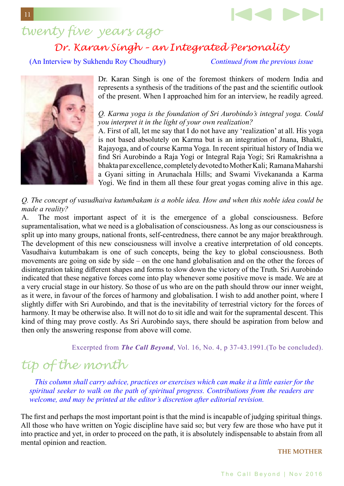# **44 D**

# <span id="page-10-0"></span>*twenty five years ago Dr. Karan Singh – an Integrated Personality*

(An Interview by Sukhendu Roy Choudhury) *Continued from the previous issue*



Dr. Karan Singh is one of the foremost thinkers of modern India and represents a synthesis of the traditions of the past and the scientific outlook of the present. When I approached him for an interview, he readily agreed.

### *Q. Karma yoga is the foundation of Sri Aurobindo's integral yoga. Could you interpret it in the light of your own realization?*

A. First of all, let me say that I do not have any 'realization' at all. His yoga is not based absolutely on Karma but is an integration of Jnana, Bhakti, Rajayoga, and of course Karma Yoga. In recent spiritual history of India we find Sri Aurobindo a Raja Yogi or Integral Raja Yogi; Sri Ramakrishna a bhakta par excellence, completely devoted to Mother Kali; Ramana Maharshi a Gyani sitting in Arunachala Hills; and Swami Vivekananda a Karma Yogi. We find in them all these four great yogas coming alive in this age.

#### *Q. The concept of vasudhaiva kutumbakam is a noble idea. How and when this noble idea could be made a reality?*

A. The most important aspect of it is the emergence of a global consciousness. Before supramentalisation, what we need is a globalisation of consciousness. As long as our consciousness is split up into many groups, national fronts, self-centredness, there cannot be any major breakthrough. The development of this new consciousness will involve a creative interpretation of old concepts. Vasudhaiva kutumbakam is one of such concepts, being the key to global consciousness. Both movements are going on side by side – on the one hand globalisation and on the other the forces of disintegration taking different shapes and forms to slow down the victory of the Truth. Sri Aurobindo indicated that these negative forces come into play whenever some positive move is made. We are at a very crucial stage in our history. So those of us who are on the path should throw our inner weight, as it were, in favour of the forces of harmony and globalisation. I wish to add another point, where I slightly differ with Sri Aurobindo, and that is the inevitability of terrestrial victory for the forces of harmony. It may be otherwise also. It will not do to sit idle and wait for the supramental descent. This kind of thing may prove costly. As Sri Aurobindo says, there should be aspiration from below and then only the answering response from above will come.

Excerpted from *The Call Beyond*, Vol. 16, No. 4, p 37-43.1991.(To be concluded).

# *tip of the month*

 *This column shall carry advice, practices or exercises which can make it a little easier for the spiritual seeker to walk on the path of spiritual progress. Contributions from the readers are welcome, and may be printed at the editor's discretion after editorial revision.*

The first and perhaps the most important point is that the mind is incapable of judging spiritual things. All those who have written on Yogic discipline have said so; but very few are those who have put it into practice and yet, in order to proceed on the path, it is absolutely indispensable to abstain from all mental opinion and reaction.

#### **THE MOTHER**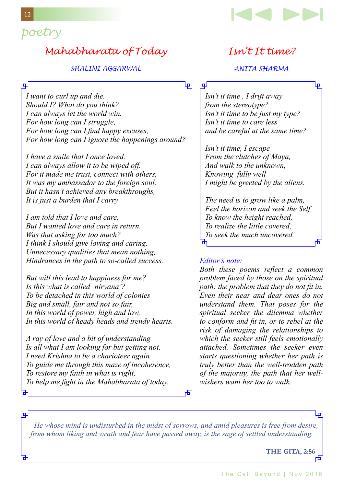பு

ᆗ

# <span id="page-11-0"></span>*poetry*

# *Mahabharata of Today*

#### *SHALINI AGGARWAL*

*I want to curl up and die. Should I? What do you think? I can always let the world win. For how long can I struggle, For how long can I find happy excuses, For how long can I ignore the happenings around?*

*I have a smile that I once loved. I can always allow it to be wiped off. For it made me trust, connect with others, It was my ambassador to the foreign soul. But it hasn't achieved any breakthroughs, It is just a burden that I carry*

*I am told that I love and care, But I wanted love and care in return. Was that asking for too much? I think I should give loving and caring, Unnecessary qualities that mean nothing, Hindrances in the path to so-called success.*

*But will this lead to happiness for me? Is this what is called 'nirvana'? To be detached in this world of colonies Big and small, fair and not so fair, In this world of power, high and low, In this world of heady heads and trendy hearts.*

*A ray of love and a bit of understanding Is all what I am looking for but getting not. I need Krishna to be a charioteer again To guide me through this maze of incoherence, To restore my faith in what is right, To help me fight in the Mahabharata of today.*

## *Isn't It time?*

#### *ANITA SHARMA*

եր

*Isn't it time , I drift away from the stereotype? Isn't it time to be just my type? Isn't it time to care less and be careful at the same time?*

*Isn't it time, I escape From the clutches of Maya, And walk to the unknown, Knowing fully well I might be greeted by the aliens.*

*The need is to grow like a palm, Feel the horizon and seek the Self, To know the height reached, To realize the little covered, To seek the much uncovered.*

#### *Editor's note:*

ρΓ

եր

*Both these poems reflect a common problem faced by those on the spiritual path: the problem that they do not fit in. Even their near and dear ones do not understand them. That poses for the spiritual seeker the dilemma whether to conform and fit in, or to rebel at the risk of damaging the relationships to which the seeker still feels emotionally attached. Sometimes the seeker even starts questioning whether her path is truly better than the well-trodden path of the majority, the path that her wellwishers want her too to walk.*

*He whose mind is undisturbed in the midst of sorrows, and amid pleasures is free from desire, from whom liking and wrath and fear have passed away, is the sage of settled understanding.*

₽

# **THE GITA, 2:56**

لبا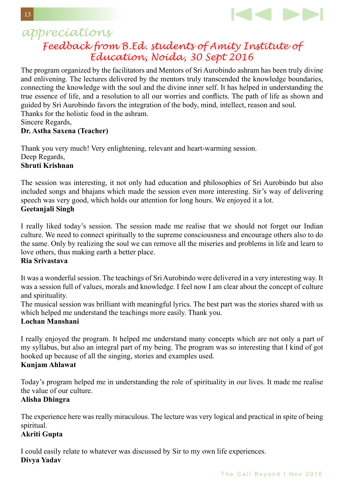

# <span id="page-12-0"></span>*appreciations*

# *Feedback from B.Ed. students of Amity Institute of Education, Noida, 30 Sept 2016*

The program organized by the facilitators and Mentors of Sri Aurobindo ashram has been truly divine and enlivening. The lectures delivered by the mentors truly transcended the knowledge boundaries, connecting the knowledge with the soul and the divine inner self. It has helped in understanding the true essence of life, and a resolution to all our worries and conflicts. The path of life as shown and guided by Sri Aurobindo favors the integration of the body, mind, intellect, reason and soul. Thanks for the holistic food in the ashram.

Sincere Regards,

#### **Dr. Astha Saxena (Teacher)**

Thank you very much! Very enlightening, relevant and heart-warming session. Deep Regards, **Shruti Krishnan**

The session was interesting, it not only had education and philosophies of Sri Aurobindo but also included songs and bhajans which made the session even more interesting. Sir's way of delivering speech was very good, which holds our attention for long hours. We enjoyed it a lot. **Geetanjali Singh**

I really liked today's session. The session made me realise that we should not forget our Indian culture. We need to connect spiritually to the supreme consciousness and encourage others also to do the same. Only by realizing the soul we can remove all the miseries and problems in life and learn to love others, thus making earth a better place.

#### **Ria Srivastava**

It was a wonderful session. The teachings of Sri Aurobindo were delivered in a very interesting way. It was a session full of values, morals and knowledge. I feel now I am clear about the concept of culture and spirituality.

The musical session was brilliant with meaningful lyrics. The best part was the stories shared with us which helped me understand the teachings more easily. Thank you.

### **Lochan Manshani**

I really enjoyed the program. It helped me understand many concepts which are not only a part of my syllabus, but also an integral part of my being. The program was so interesting that I kind of got hooked up because of all the singing, stories and examples used. **Kunjam Ahlawat**

Today's program helped me in understanding the role of spirituality in our lives. It made me realise the value of our culture.

#### **Alisha Dhingra**

The experience here was really miraculous. The lecture was very logical and practical in spite of being spiritual.

#### **Akriti Gupta**

I could easily relate to whatever was discussed by Sir to my own life experiences. **Divya Yadav**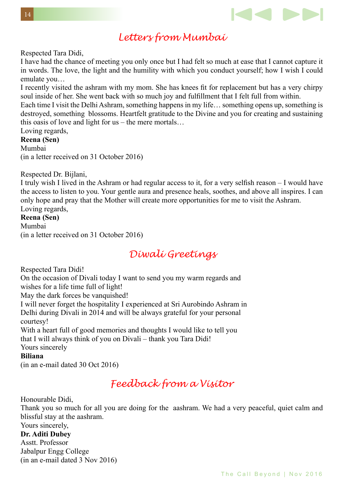

# *Letters from Mumbai*

<span id="page-13-0"></span>Respected Tara Didi,

I have had the chance of meeting you only once but I had felt so much at ease that I cannot capture it in words. The love, the light and the humility with which you conduct yourself; how I wish I could emulate you…

I recently visited the ashram with my mom. She has knees fit for replacement but has a very chirpy soul inside of her. She went back with so much joy and fulfillment that I felt full from within.

Each time I visit the Delhi Ashram, something happens in my life… something opens up, something is destroyed, something blossoms. Heartfelt gratitude to the Divine and you for creating and sustaining this oasis of love and light for  $us$  – the mere mortals...

#### Loving regards, **Reena (Sen)**

Mumbai (in a letter received on 31 October 2016)

Respected Dr. Bijlani,

I truly wish I lived in the Ashram or had regular access to it, for a very selfish reason – I would have the access to listen to you. Your gentle aura and presence heals, soothes, and above all inspires. I can only hope and pray that the Mother will create more opportunities for me to visit the Ashram. Loving regards,

### **Reena (Sen)**  Mumbai (in a letter received on 31 October 2016)

# *Diwali Greetings*

Respected Tara Didi!

On the occasion of Divali today I want to send you my warm regards and wishes for a life time full of light!

May the dark forces be vanquished!

I will never forget the hospitality I experienced at Sri Aurobindo Ashram in Delhi during Divali in 2014 and will be always grateful for your personal courtesy!

With a heart full of good memories and thoughts I would like to tell you that I will always think of you on Divali – thank you Tara Didi! Yours sincerely

#### **Biliana**

(in an e-mail dated 30 Oct 2016)

# *Feedback from a Visitor*

Honourable Didi,

Thank you so much for all you are doing for the aashram. We had a very peaceful, quiet calm and blissful stay at the aashram.

### Yours sincerely,

**Dr. Aditi Dubey**

Asstt. Professor Jabalpur Engg College (in an e-mail dated 3 Nov 2016)